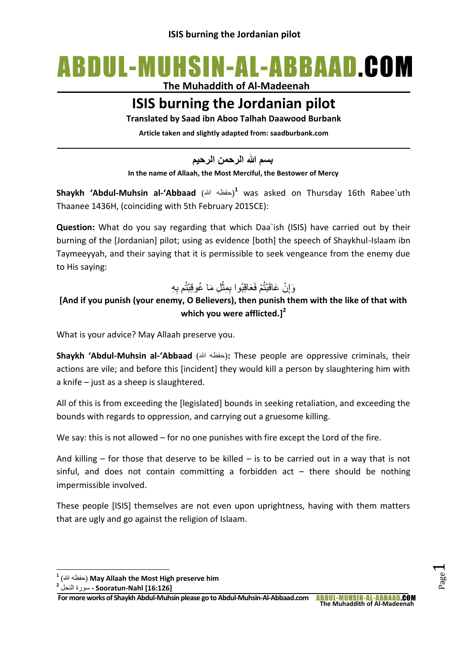# ABDUL-MUHSIN-AL-ABBAAD.COM

**The Muhaddith of Al-Madeenah**

# **ISIS burning the Jordanian pilot**

**Translated by Saad ibn Aboo Talhah Daawood Burbank**

**Article taken and slightly adapted from: saadburbank.com**

**بسم هللا الرحمن الرحيم**

**In the name of Allaah, the Most Merciful, the Bestower of Mercy**

**Shaykh 'Abdul-Muhsin al-'Abbaad** (حفظه الله) was asked on Thursday 16th Rabee`uth Thaanee 1436H, (coinciding with 5th February 2015CE):

**Question:** What do you say regarding that which Daa`ish (ISIS) have carried out by their burning of the [Jordanian] pilot; using as evidence [both] the speech of Shaykhul-Islaam ibn Taymeeyyah, and their saying that it is permissible to seek vengeance from the enemy due to His saying:

#### وَإِنْ عَاقَبْتُمْ فَعَاقِبُوا بِمِثْلِ مَا عُوقِبْتُم بِهِ ِ Ĺ

## **[And if you punish (your enemy, O Believers), then punish them with the like of that with which you were afflicted.] 2**

What is your advice? May Allaah preserve you.

**Shaykh 'Abdul-Muhsin al-'Abbaad** (احفظه الله): These people are oppressive criminals, their actions are vile; and before this [incident] they would kill a person by slaughtering him with a knife – just as a sheep is slaughtered.

All of this is from exceeding the [legislated] bounds in seeking retaliation, and exceeding the bounds with regards to oppression, and carrying out a gruesome killing.

We say: this is not allowed – for no one punishes with fire except the Lord of the fire.

And killing  $-$  for those that deserve to be killed  $-$  is to be carried out in a way that is not sinful, and does not contain committing a forbidden act  $-$  there should be nothing impermissible involved.

These people [ISIS] themselves are not even upon uprightness, having with them matters that are ugly and go against the religion of Islaam.

**.** 

 $\overline{\phantom{0}}$ 

<sup>&</sup>lt;sup>1</sup> (حفظه الله) May Allaah the Most High preserve him

**<sup>2</sup> [16:126] Nahl-Sooratun -** سورة النحل

**For more works of Shaykh Abdul-Muhsin please go to Abdul-Muhsin-Al-Abbaad.com The Muhaddith of Al-Madeenah**